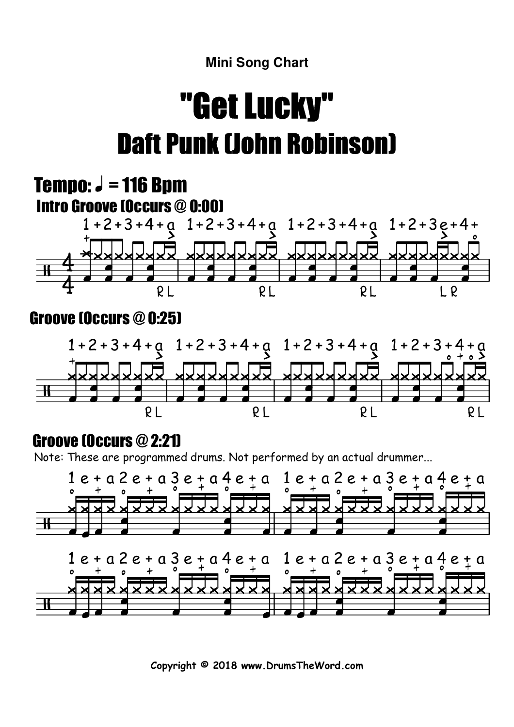#### **Mini Song Chart**

# "Get Lucky"Daft Punk (John Robinson)

#### 4 4 1 +2+3 +4 + a Tempo:  $J = 116$  Bpm Intro Groove (Occurs @ 0:00) R L 1 +2 +3 +4+ a 1 +2+3 +4 + a 1 +2+3e + 4+ R L R L L R 1 +2 + 3 + 4 + a Groove (Occurs @ 0:25) 1 +2 +3 +4 + a 1 + 2 +3 +4 + a  $1 + 2 + 3 + 4$  $+ \Omega$

R L

R L

R L

### Groove (Occurs @ 2:21)

R L

Note: These are programmed drums. Not performed by an actual drummer...



**Copyright © 2018 www.DrumsTheWord.com**